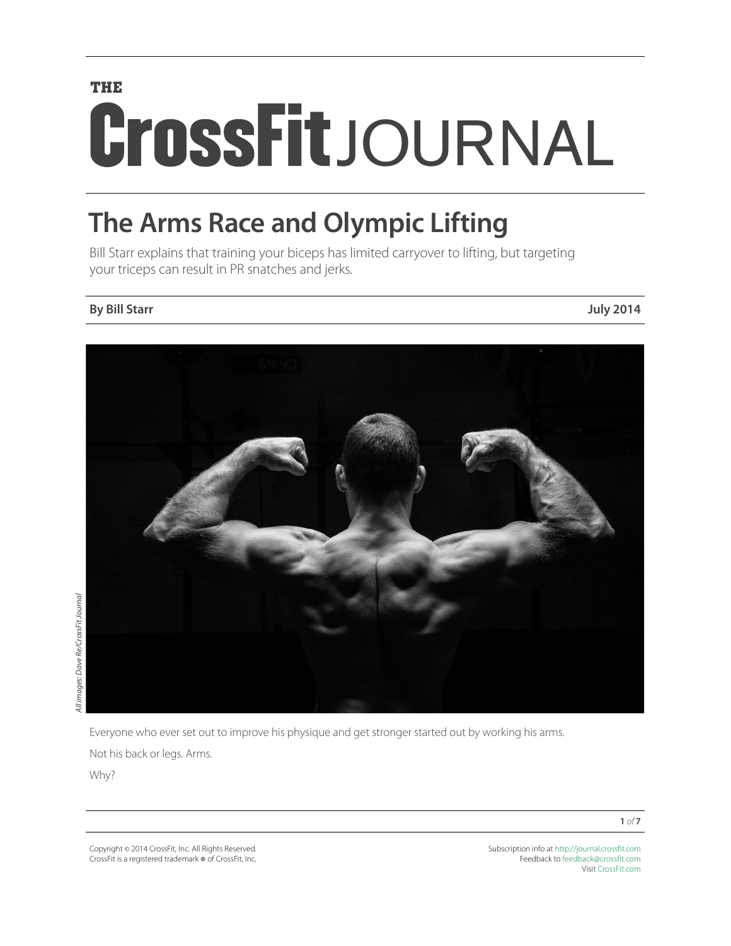# **THE** CrossFitJOURNAL

## **The Arms Race and Olympic Lifting**

Bill Starr explains that training your biceps has limited carryover to lifting, but targeting your triceps can result in PR snatches and jerks.

### **By Bill Starr July 2014**



Everyone who ever set out to improve his physique and get stronger started out by working his arms.

Not his back or legs. Arms.

Why?

Copyright © 2014 CrossFit, Inc. All Rights Reserved. CrossFit is a registered trademark ® of CrossFit, Inc. Subscription info at <http://journal.crossfit.com> Feedback to [feedback@crossfit.com](mailto:feedback@crossfit.com) Visit [CrossFit.com](http://www.crossfit.com)

**1** *of* **7**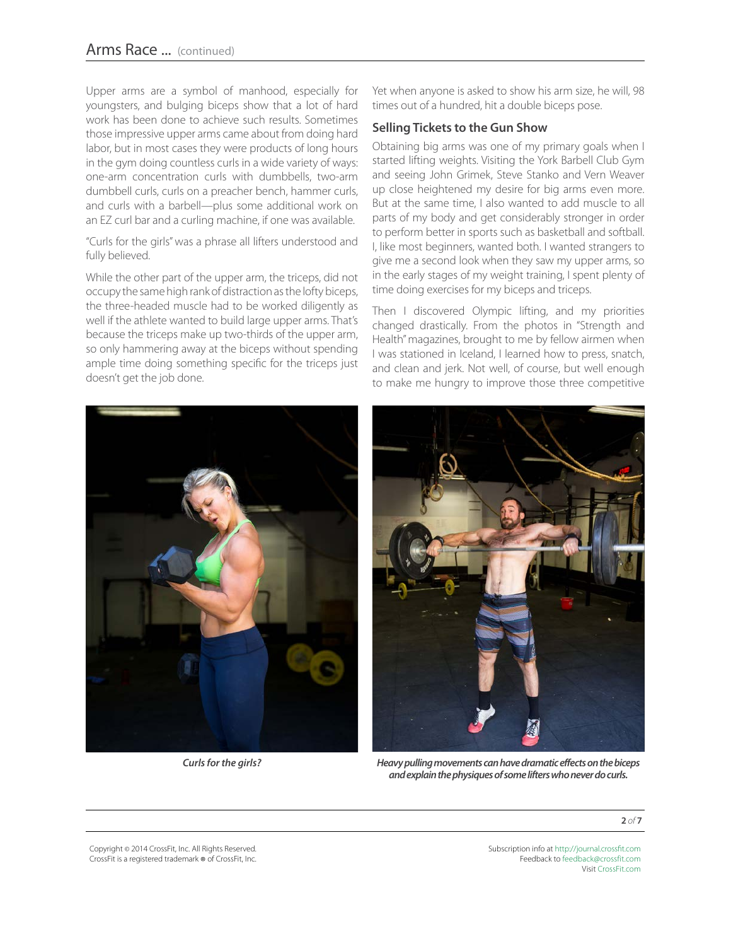Upper arms are a symbol of manhood, especially for youngsters, and bulging biceps show that a lot of hard work has been done to achieve such results. Sometimes those impressive upper arms came about from doing hard labor, but in most cases they were products of long hours in the gym doing countless curls in a wide variety of ways: one-arm concentration curls with dumbbells, two-arm dumbbell curls, curls on a preacher bench, hammer curls, and curls with a barbell—plus some additional work on an EZ curl bar and a curling machine, if one was available.

"Curls for the girls" was a phrase all lifters understood and fully believed.

While the other part of the upper arm, the triceps, did not occupy the same high rank of distraction as the lofty biceps, the three-headed muscle had to be worked diligently as well if the athlete wanted to build large upper arms. That's because the triceps make up two-thirds of the upper arm, so only hammering away at the biceps without spending ample time doing something specific for the triceps just doesn't get the job done.

Yet when anyone is asked to show his arm size, he will, 98 times out of a hundred, hit a double biceps pose.

#### **Selling Tickets to the Gun Show**

Obtaining big arms was one of my primary goals when I started lifting weights. Visiting the York Barbell Club Gym and seeing John Grimek, Steve Stanko and Vern Weaver up close heightened my desire for big arms even more. But at the same time, I also wanted to add muscle to all parts of my body and get considerably stronger in order to perform better in sports such as basketball and softball. I, like most beginners, wanted both. I wanted strangers to give me a second look when they saw my upper arms, so in the early stages of my weight training, I spent plenty of time doing exercises for my biceps and triceps.

Then I discovered Olympic lifting, and my priorities changed drastically. From the photos in "Strength and Health" magazines, brought to me by fellow airmen when I was stationed in Iceland, I learned how to press, snatch, and clean and jerk. Not well, of course, but well enough to make me hungry to improve those three competitive





*Curls for the girls? Heavy pulling movements can have dramatic effects on the biceps and explain the physiques of some lifters who never do curls.*

**2** *of* **7**

Copyright © 2014 CrossFit, Inc. All Rights Reserved. CrossFit is a registered trademark ® of CrossFit, Inc.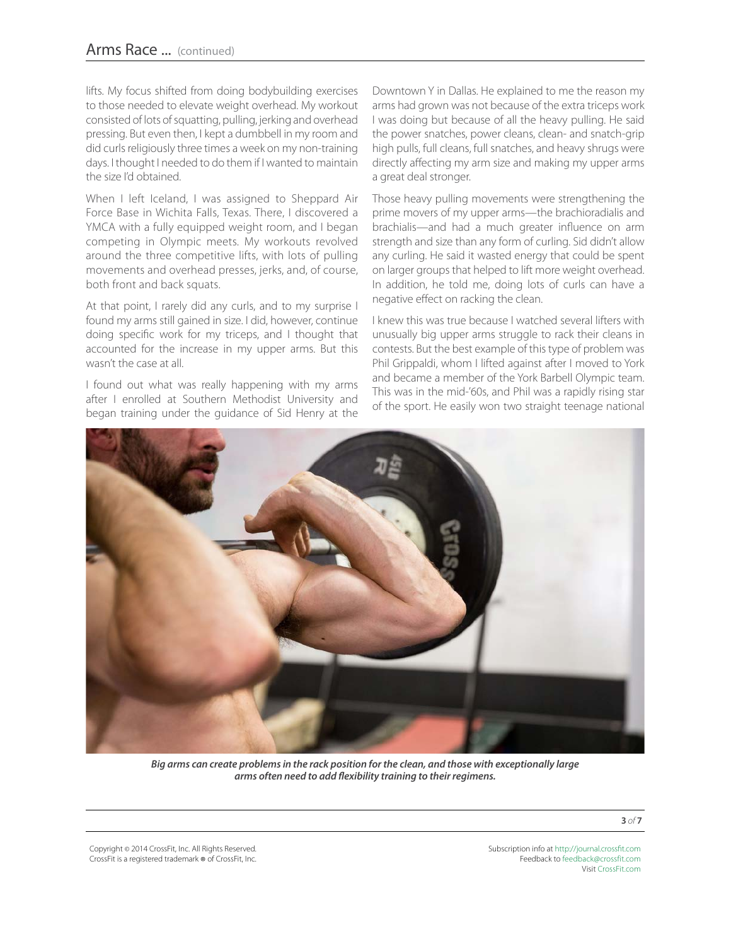lifts. My focus shifted from doing bodybuilding exercises to those needed to elevate weight overhead. My workout consisted of lots of squatting, pulling, jerking and overhead pressing. But even then, I kept a dumbbell in my room and did curls religiously three times a week on my non-training days. I thought I needed to do them if I wanted to maintain the size I'd obtained.

When I left Iceland, I was assigned to Sheppard Air Force Base in Wichita Falls, Texas. There, I discovered a YMCA with a fully equipped weight room, and I began competing in Olympic meets. My workouts revolved around the three competitive lifts, with lots of pulling movements and overhead presses, jerks, and, of course, both front and back squats.

At that point, I rarely did any curls, and to my surprise I found my arms still gained in size. I did, however, continue doing specific work for my triceps, and I thought that accounted for the increase in my upper arms. But this wasn't the case at all.

I found out what was really happening with my arms after I enrolled at Southern Methodist University and began training under the guidance of Sid Henry at the

Downtown Y in Dallas. He explained to me the reason my arms had grown was not because of the extra triceps work I was doing but because of all the heavy pulling. He said the power snatches, power cleans, clean- and snatch-grip high pulls, full cleans, full snatches, and heavy shrugs were directly affecting my arm size and making my upper arms a great deal stronger.

Those heavy pulling movements were strengthening the prime movers of my upper arms—the brachioradialis and brachialis—and had a much greater influence on arm strength and size than any form of curling. Sid didn't allow any curling. He said it wasted energy that could be spent on larger groups that helped to lift more weight overhead. In addition, he told me, doing lots of curls can have a negative effect on racking the clean.

I knew this was true because I watched several lifters with unusually big upper arms struggle to rack their cleans in contests. But the best example of this type of problem was Phil Grippaldi, whom I lifted against after I moved to York and became a member of the York Barbell Olympic team. This was in the mid-'60s, and Phil was a rapidly rising star of the sport. He easily won two straight teenage national



*Big arms can create problems in the rack position for the clean, and those with exceptionally large arms often need to add flexibility training to their regimens.*

**3** *of* **7**

Copyright © 2014 CrossFit, Inc. All Rights Reserved. CrossFit is a registered trademark ® of CrossFit, Inc.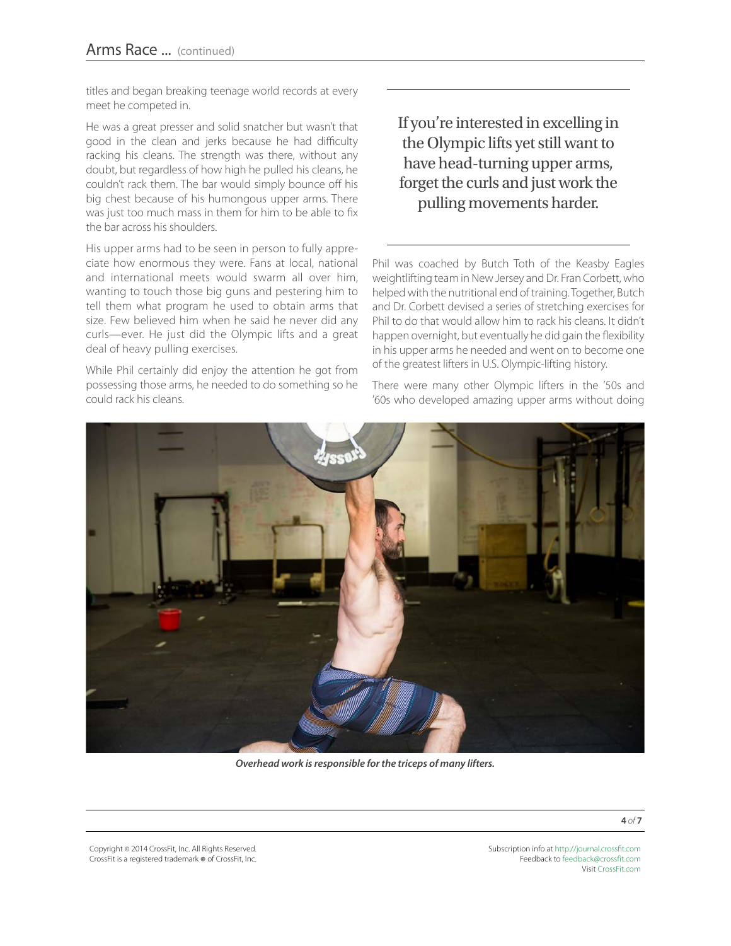titles and began breaking teenage world records at every meet he competed in.

He was a great presser and solid snatcher but wasn't that good in the clean and jerks because he had difficulty racking his cleans. The strength was there, without any doubt, but regardless of how high he pulled his cleans, he couldn't rack them. The bar would simply bounce off his big chest because of his humongous upper arms. There was just too much mass in them for him to be able to fix the bar across his shoulders.

His upper arms had to be seen in person to fully appreciate how enormous they were. Fans at local, national and international meets would swarm all over him, wanting to touch those big guns and pestering him to tell them what program he used to obtain arms that size. Few believed him when he said he never did any curls—ever. He just did the Olympic lifts and a great deal of heavy pulling exercises.

While Phil certainly did enjoy the attention he got from possessing those arms, he needed to do something so he could rack his cleans.

If you're interested in excelling in the Olympic lifts yet still want to have head-turning upper arms, forget the curls and just work the pulling movements harder.

Phil was coached by Butch Toth of the Keasby Eagles weightlifting team in New Jersey and Dr. Fran Corbett, who helped with the nutritional end of training. Together, Butch and Dr. Corbett devised a series of stretching exercises for Phil to do that would allow him to rack his cleans. It didn't happen overnight, but eventually he did gain the flexibility in his upper arms he needed and went on to become one of the greatest lifters in U.S. Olympic-lifting history.

There were many other Olympic lifters in the '50s and '60s who developed amazing upper arms without doing



*Overhead work is responsible for the triceps of many lifters.*

**4** *of* **7**

Copyright © 2014 CrossFit, Inc. All Rights Reserved. CrossFit is a registered trademark ® of CrossFit, Inc.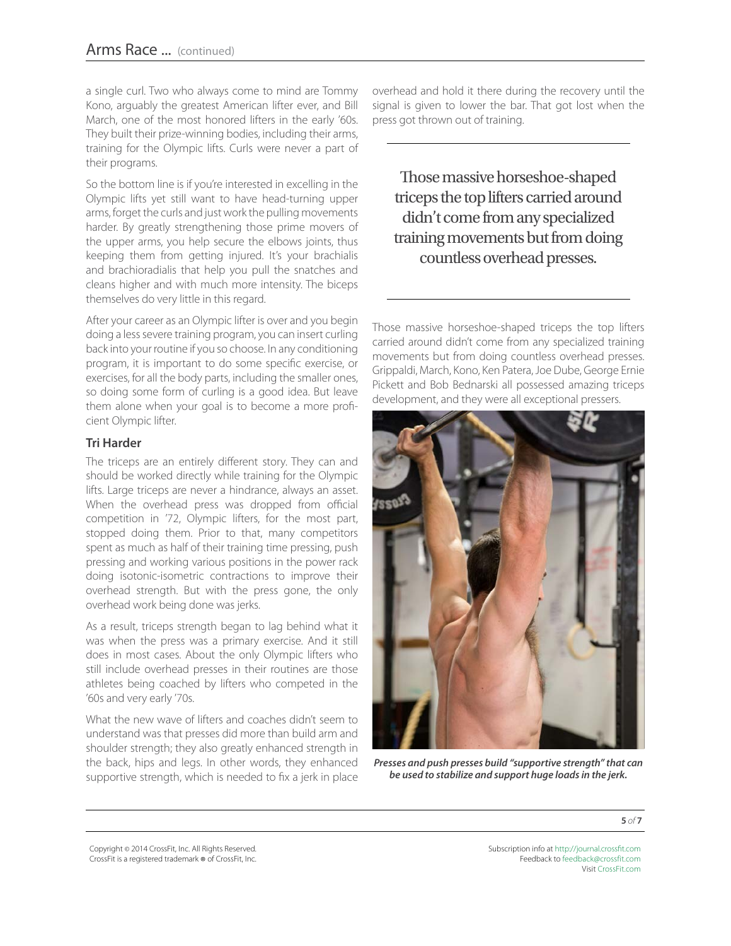a single curl. Two who always come to mind are Tommy Kono, arguably the greatest American lifter ever, and Bill March, one of the most honored lifters in the early '60s. They built their prize-winning bodies, including their arms, training for the Olympic lifts. Curls were never a part of their programs.

So the bottom line is if you're interested in excelling in the Olympic lifts yet still want to have head-turning upper arms, forget the curls and just work the pulling movements harder. By greatly strengthening those prime movers of the upper arms, you help secure the elbows joints, thus keeping them from getting injured. It's your brachialis and brachioradialis that help you pull the snatches and cleans higher and with much more intensity. The biceps themselves do very little in this regard.

After your career as an Olympic lifter is over and you begin doing a less severe training program, you can insert curling back into your routine if you so choose. In any conditioning program, it is important to do some specific exercise, or exercises, for all the body parts, including the smaller ones, so doing some form of curling is a good idea. But leave them alone when your goal is to become a more proficient Olympic lifter.

#### **Tri Harder**

The triceps are an entirely different story. They can and should be worked directly while training for the Olympic lifts. Large triceps are never a hindrance, always an asset. When the overhead press was dropped from official competition in '72, Olympic lifters, for the most part, stopped doing them. Prior to that, many competitors spent as much as half of their training time pressing, push pressing and working various positions in the power rack doing isotonic-isometric contractions to improve their overhead strength. But with the press gone, the only overhead work being done was jerks.

As a result, triceps strength began to lag behind what it was when the press was a primary exercise. And it still does in most cases. About the only Olympic lifters who still include overhead presses in their routines are those athletes being coached by lifters who competed in the '60s and very early '70s.

What the new wave of lifters and coaches didn't seem to understand was that presses did more than build arm and shoulder strength; they also greatly enhanced strength in the back, hips and legs. In other words, they enhanced supportive strength, which is needed to fix a jerk in place

overhead and hold it there during the recovery until the signal is given to lower the bar. That got lost when the press got thrown out of training.

Those massive horseshoe-shaped triceps the top lifters carried around didn't come from any specialized training movements but from doing countless overhead presses.

Those massive horseshoe-shaped triceps the top lifters carried around didn't come from any specialized training movements but from doing countless overhead presses. Grippaldi, March, Kono, Ken Patera, Joe Dube, George Ernie Pickett and Bob Bednarski all possessed amazing triceps development, and they were all exceptional pressers.



*Presses and push presses build "supportive strength" that can be used to stabilize and support huge loads in the jerk.*

**5** *of* **7**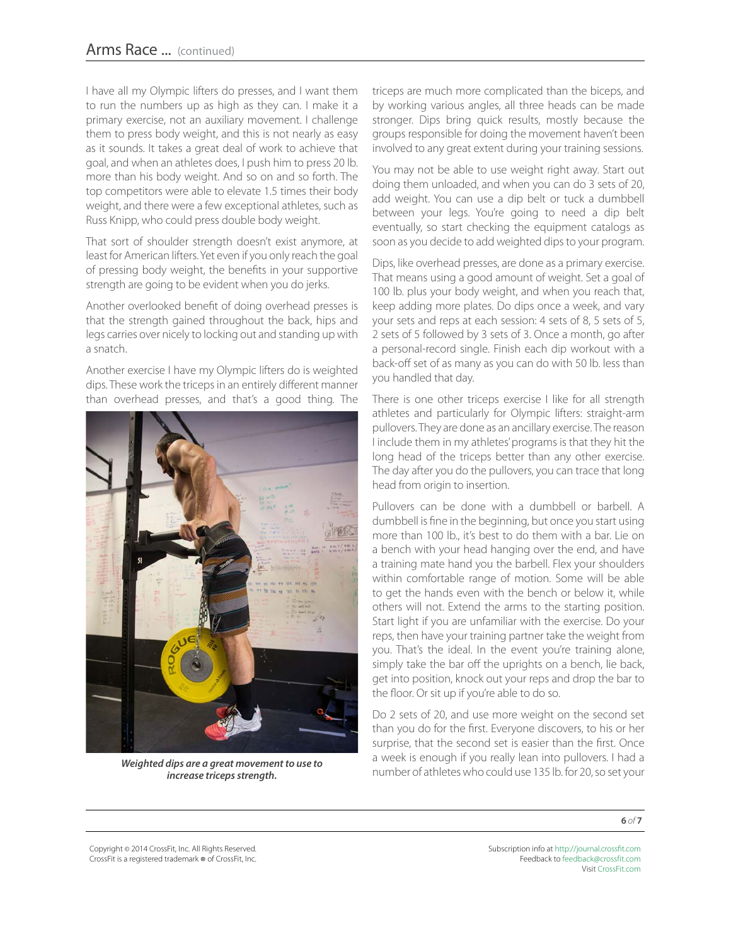I have all my Olympic lifters do presses, and I want them to run the numbers up as high as they can. I make it a primary exercise, not an auxiliary movement. I challenge them to press body weight, and this is not nearly as easy as it sounds. It takes a great deal of work to achieve that goal, and when an athletes does, I push him to press 20 lb. more than his body weight. And so on and so forth. The top competitors were able to elevate 1.5 times their body weight, and there were a few exceptional athletes, such as Russ Knipp, who could press double body weight.

That sort of shoulder strength doesn't exist anymore, at least for American lifters. Yet even if you only reach the goal of pressing body weight, the benefits in your supportive strength are going to be evident when you do jerks.

Another overlooked benefit of doing overhead presses is that the strength gained throughout the back, hips and legs carries over nicely to locking out and standing up with a snatch.

Another exercise I have my Olympic lifters do is weighted dips. These work the triceps in an entirely different manner than overhead presses, and that's a good thing. The



*increase triceps strength.*

triceps are much more complicated than the biceps, and by working various angles, all three heads can be made stronger. Dips bring quick results, mostly because the groups responsible for doing the movement haven't been involved to any great extent during your training sessions.

You may not be able to use weight right away. Start out doing them unloaded, and when you can do 3 sets of 20, add weight. You can use a dip belt or tuck a dumbbell between your legs. You're going to need a dip belt eventually, so start checking the equipment catalogs as soon as you decide to add weighted dips to your program.

Dips, like overhead presses, are done as a primary exercise. That means using a good amount of weight. Set a goal of 100 lb. plus your body weight, and when you reach that, keep adding more plates. Do dips once a week, and vary your sets and reps at each session: 4 sets of 8, 5 sets of 5, 2 sets of 5 followed by 3 sets of 3. Once a month, go after a personal-record single. Finish each dip workout with a back-off set of as many as you can do with 50 lb. less than you handled that day.

There is one other triceps exercise I like for all strength athletes and particularly for Olympic lifters: straight-arm pullovers. They are done as an ancillary exercise. The reason I include them in my athletes' programs is that they hit the long head of the triceps better than any other exercise. The day after you do the pullovers, you can trace that long head from origin to insertion.

Pullovers can be done with a dumbbell or barbell. A dumbbell is fine in the beginning, but once you start using more than 100 lb., it's best to do them with a bar. Lie on a bench with your head hanging over the end, and have a training mate hand you the barbell. Flex your shoulders within comfortable range of motion. Some will be able to get the hands even with the bench or below it, while others will not. Extend the arms to the starting position. Start light if you are unfamiliar with the exercise. Do your reps, then have your training partner take the weight from you. That's the ideal. In the event you're training alone, simply take the bar off the uprights on a bench, lie back, get into position, knock out your reps and drop the bar to the floor. Or sit up if you're able to do so.

Do 2 sets of 20, and use more weight on the second set than you do for the first. Everyone discovers, to his or her surprise, that the second set is easier than the first. Once a week is enough if you really lean into pullovers. I had a **Weighted dips are a great movement to use to**<br>increase tricens strenath number of athletes who could use 135 lb. for 20, so set your

**6** *of* **7**

Copyright © 2014 CrossFit, Inc. All Rights Reserved. CrossFit is a registered trademark ® of CrossFit, Inc.